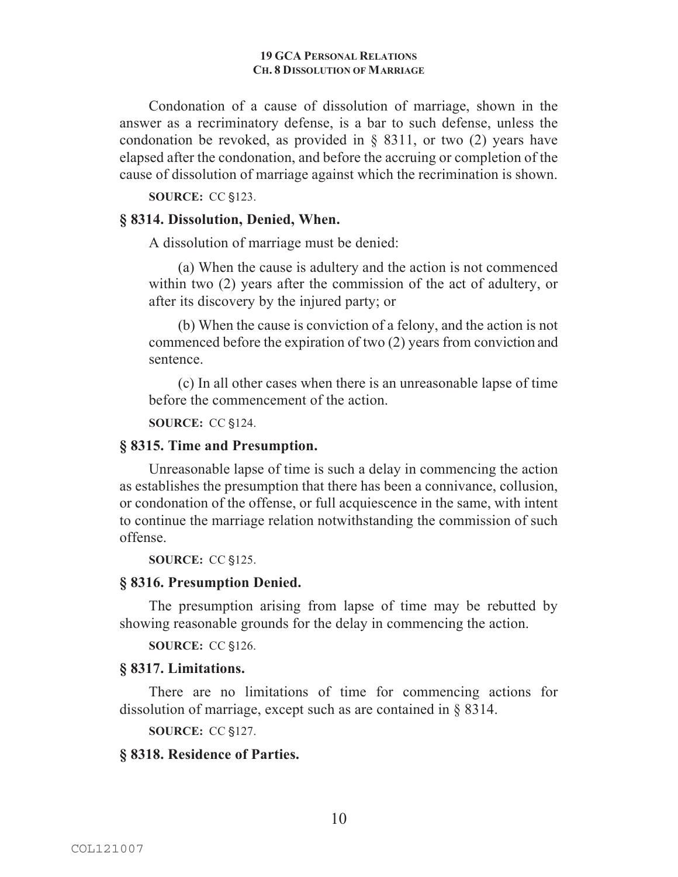#### **19 GCA PERSONAL RELATIONS CH. 8 DISSOLUTION OF MARRIAGE**

Condonation of a cause of dissolution of marriage, shown in the answer as a recriminatory defense, is a bar to such defense, unless the condonation be revoked, as provided in  $\S$  8311, or two (2) years have elapsed after the condonation, and before the accruing or completion of the cause of dissolution of marriage against which the recrimination is shown.

**SOURCE:** CC §123.

# **§ 8314. Dissolution, Denied, When.**

A dissolution of marriage must be denied:

(a) When the cause is adultery and the action is not commenced within two (2) years after the commission of the act of adultery, or after its discovery by the injured party; or

(b) When the cause is conviction of a felony, and the action is not commenced before the expiration of two (2) years from conviction and sentence.

(c) In all other cases when there is an unreasonable lapse of time before the commencement of the action.

**SOURCE: CC §124.** 

## **§ 8315. Time and Presumption.**

Unreasonable lapse of time is such a delay in commencing the action as establishes the presumption that there has been a connivance, collusion, or condonation of the offense, or full acquiescence in the same, with intent to continue the marriage relation notwithstanding the commission of such offense.

**SOURCE:** CC §125.

### **§ 8316. Presumption Denied.**

The presumption arising from lapse of time may be rebutted by showing reasonable grounds for the delay in commencing the action.

**SOURCE: CC §126.** 

### **§ 8317. Limitations.**

There are no limitations of time for commencing actions for dissolution of marriage, except such as are contained in § 8314.

**SOURCE: CC §127.** 

# **§ 8318. Residence of Parties.**